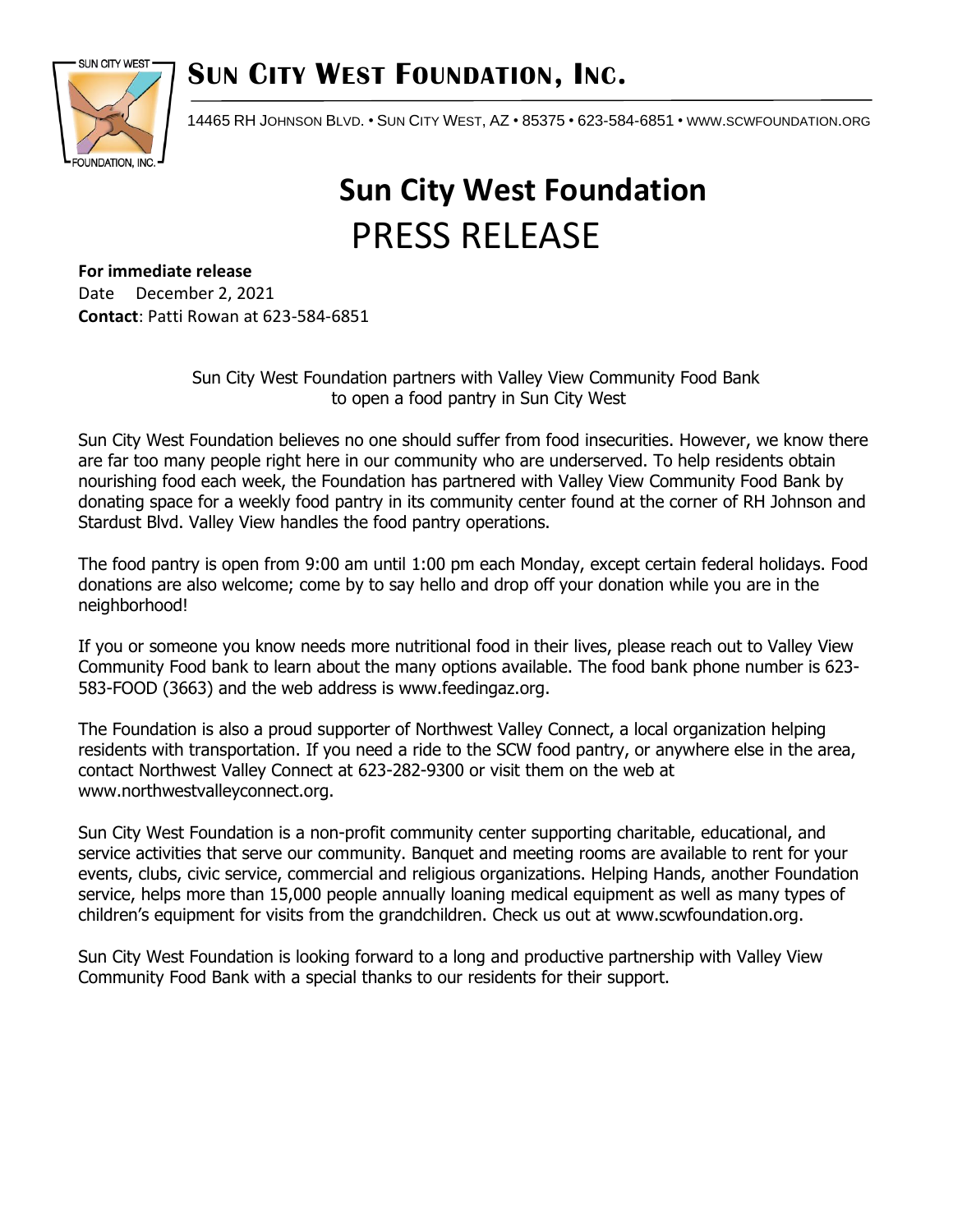## **SUN CITY WEST FOUNDATION, INC.**



14465 RH JOHNSON BLVD. • SUN CITY WEST, AZ • 85375 • 623-584-6851 • WWW.[SCWFOUNDATION](http://www.scwfoundation.org/).ORG

## **Sun City West Foundation** PRESS RELEASE

**For immediate release**

Date December 2, 2021 **Contact**: Patti Rowan at 623-584-6851

> Sun City West Foundation partners with Valley View Community Food Bank to open a food pantry in Sun City West

Sun City West Foundation believes no one should suffer from food insecurities. However, we know there are far too many people right here in our community who are underserved. To help residents obtain nourishing food each week, the Foundation has partnered with Valley View Community Food Bank by donating space for a weekly food pantry in its community center found at the corner of RH Johnson and Stardust Blvd. Valley View handles the food pantry operations.

The food pantry is open from 9:00 am until 1:00 pm each Monday, except certain federal holidays. Food donations are also welcome; come by to say hello and drop off your donation while you are in the neighborhood!

If you or someone you know needs more nutritional food in their lives, please reach out to Valley View Community Food bank to learn about the many options available. The food bank phone number is 623- 583-FOOD (3663) and the web address is www.feedingaz.org.

The Foundation is also a proud supporter of Northwest Valley Connect, a local organization helping residents with transportation. If you need a ride to the SCW food pantry, or anywhere else in the area, contact Northwest Valley Connect at 623-282-9300 or visit them on the web at www.northwestvalleyconnect.org.

Sun City West Foundation is a non-profit community center supporting charitable, educational, and service activities that serve our community. Banquet and meeting rooms are available to rent for your events, clubs, civic service, commercial and religious organizations. Helping Hands, another Foundation service, helps more than 15,000 people annually loaning medical equipment as well as many types of children's equipment for visits from the grandchildren. Check us out at www.scwfoundation.org.

Sun City West Foundation is looking forward to a long and productive partnership with Valley View Community Food Bank with a special thanks to our residents for their support.